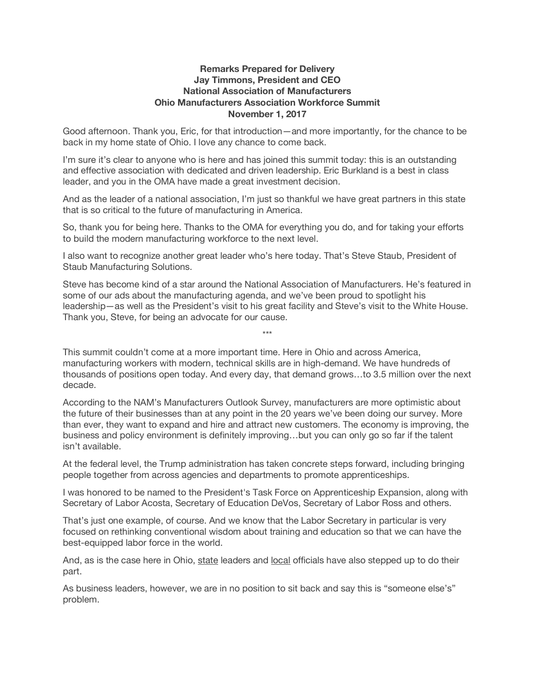## **Remarks Prepared for Delivery Jay Timmons, President and CEO National Association of Manufacturers Ohio Manufacturers Association Workforce Summit November 1, 2017**

Good afternoon. Thank you, Eric, for that introduction—and more importantly, for the chance to be back in my home state of Ohio. I love any chance to come back.

I'm sure it's clear to anyone who is here and has joined this summit today: this is an outstanding and effective association with dedicated and driven leadership. Eric Burkland is a best in class leader, and you in the OMA have made a great investment decision.

And as the leader of a national association, I'm just so thankful we have great partners in this state that is so critical to the future of manufacturing in America.

So, thank you for being here. Thanks to the OMA for everything you do, and for taking your efforts to build the modern manufacturing workforce to the next level.

I also want to recognize another great leader who's here today. That's Steve Staub, President of Staub Manufacturing Solutions.

Steve has become kind of a star around the National Association of Manufacturers. He's featured in some of our ads about the manufacturing agenda, and we've been proud to spotlight his leadership—as well as the President's visit to his great facility and Steve's visit to the White House. Thank you, Steve, for being an advocate for our cause.

This summit couldn't come at a more important time. Here in Ohio and across America, manufacturing workers with modern, technical skills are in high-demand. We have hundreds of thousands of positions open today. And every day, that demand grows…to 3.5 million over the next decade.

\*\*\*

According to the NAM's Manufacturers Outlook Survey, manufacturers are more optimistic about the future of their businesses than at any point in the 20 years we've been doing our survey. More than ever, they want to expand and hire and attract new customers. The economy is improving, the business and policy environment is definitely improving…but you can only go so far if the talent isn't available.

At the federal level, the Trump administration has taken concrete steps forward, including bringing people together from across agencies and departments to promote apprenticeships.

I was honored to be named to the President's Task Force on Apprenticeship Expansion, along with Secretary of Labor Acosta, Secretary of Education DeVos, Secretary of Labor Ross and others.

That's just one example, of course. And we know that the Labor Secretary in particular is very focused on rethinking conventional wisdom about training and education so that we can have the best-equipped labor force in the world.

And, as is the case here in Ohio, state leaders and local officials have also stepped up to do their part.

As business leaders, however, we are in no position to sit back and say this is "someone else's" problem.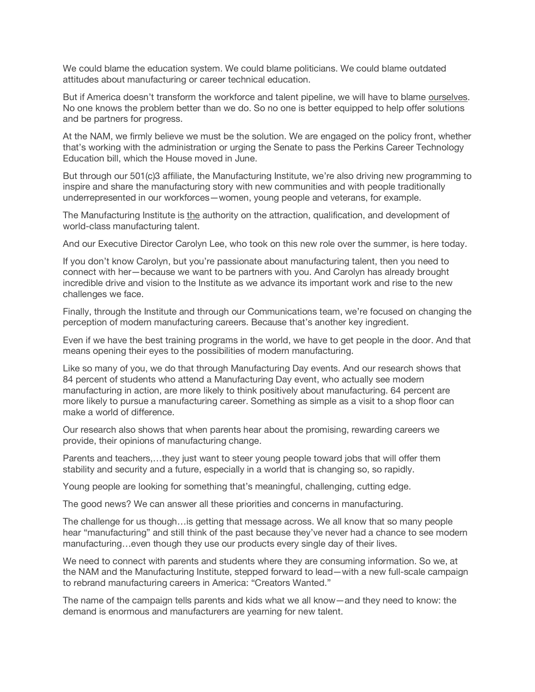We could blame the education system. We could blame politicians. We could blame outdated attitudes about manufacturing or career technical education.

But if America doesn't transform the workforce and talent pipeline, we will have to blame ourselves. No one knows the problem better than we do. So no one is better equipped to help offer solutions and be partners for progress.

At the NAM, we firmly believe we must be the solution. We are engaged on the policy front, whether that's working with the administration or urging the Senate to pass the Perkins Career Technology Education bill, which the House moved in June.

But through our 501(c)3 affiliate, the Manufacturing Institute, we're also driving new programming to inspire and share the manufacturing story with new communities and with people traditionally underrepresented in our workforces—women, young people and veterans, for example.

The Manufacturing Institute is the authority on the attraction, qualification, and development of world-class manufacturing talent.

And our Executive Director Carolyn Lee, who took on this new role over the summer, is here today.

If you don't know Carolyn, but you're passionate about manufacturing talent, then you need to connect with her—because we want to be partners with you. And Carolyn has already brought incredible drive and vision to the Institute as we advance its important work and rise to the new challenges we face.

Finally, through the Institute and through our Communications team, we're focused on changing the perception of modern manufacturing careers. Because that's another key ingredient.

Even if we have the best training programs in the world, we have to get people in the door. And that means opening their eyes to the possibilities of modern manufacturing.

Like so many of you, we do that through Manufacturing Day events. And our research shows that 84 percent of students who attend a Manufacturing Day event, who actually see modern manufacturing in action, are more likely to think positively about manufacturing. 64 percent are more likely to pursue a manufacturing career. Something as simple as a visit to a shop floor can make a world of difference.

Our research also shows that when parents hear about the promising, rewarding careers we provide, their opinions of manufacturing change.

Parents and teachers,…they just want to steer young people toward jobs that will offer them stability and security and a future, especially in a world that is changing so, so rapidly.

Young people are looking for something that's meaningful, challenging, cutting edge.

The good news? We can answer all these priorities and concerns in manufacturing.

The challenge for us though…is getting that message across. We all know that so many people hear "manufacturing" and still think of the past because they've never had a chance to see modern manufacturing…even though they use our products every single day of their lives.

We need to connect with parents and students where they are consuming information. So we, at the NAM and the Manufacturing Institute, stepped forward to lead—with a new full-scale campaign to rebrand manufacturing careers in America: "Creators Wanted."

The name of the campaign tells parents and kids what we all know—and they need to know: the demand is enormous and manufacturers are yearning for new talent.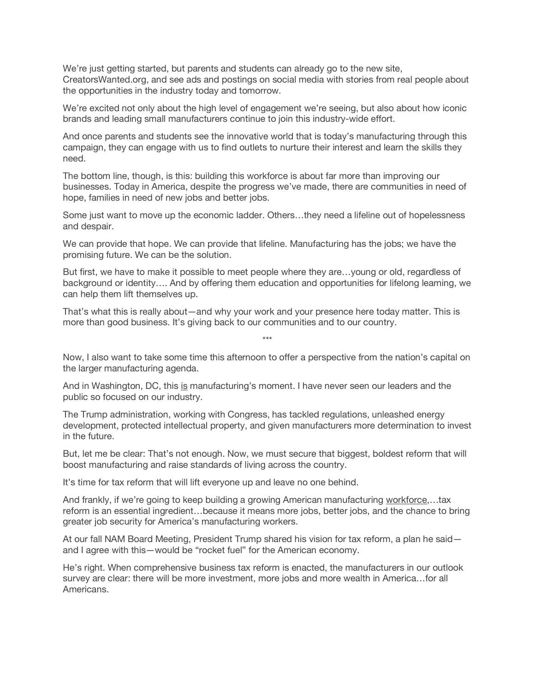We're just getting started, but parents and students can already go to the new site. CreatorsWanted.org, and see ads and postings on social media with stories from real people about the opportunities in the industry today and tomorrow.

We're excited not only about the high level of engagement we're seeing, but also about how iconic brands and leading small manufacturers continue to join this industry-wide effort.

And once parents and students see the innovative world that is today's manufacturing through this campaign, they can engage with us to find outlets to nurture their interest and learn the skills they need.

The bottom line, though, is this: building this workforce is about far more than improving our businesses. Today in America, despite the progress we've made, there are communities in need of hope, families in need of new jobs and better jobs.

Some just want to move up the economic ladder. Others…they need a lifeline out of hopelessness and despair.

We can provide that hope. We can provide that lifeline. Manufacturing has the jobs; we have the promising future. We can be the solution.

But first, we have to make it possible to meet people where they are…young or old, regardless of background or identity…. And by offering them education and opportunities for lifelong learning, we can help them lift themselves up.

That's what this is really about—and why your work and your presence here today matter. This is more than good business. It's giving back to our communities and to our country.

Now, I also want to take some time this afternoon to offer a perspective from the nation's capital on the larger manufacturing agenda.

\*\*\*

And in Washington, DC, this is manufacturing's moment. I have never seen our leaders and the public so focused on our industry.

The Trump administration, working with Congress, has tackled regulations, unleashed energy development, protected intellectual property, and given manufacturers more determination to invest in the future.

But, let me be clear: That's not enough. Now, we must secure that biggest, boldest reform that will boost manufacturing and raise standards of living across the country.

It's time for tax reform that will lift everyone up and leave no one behind.

And frankly, if we're going to keep building a growing American manufacturing workforce,…tax reform is an essential ingredient…because it means more jobs, better jobs, and the chance to bring greater job security for America's manufacturing workers.

At our fall NAM Board Meeting, President Trump shared his vision for tax reform, a plan he said and I agree with this—would be "rocket fuel" for the American economy.

He's right. When comprehensive business tax reform is enacted, the manufacturers in our outlook survey are clear: there will be more investment, more jobs and more wealth in America…for all Americans.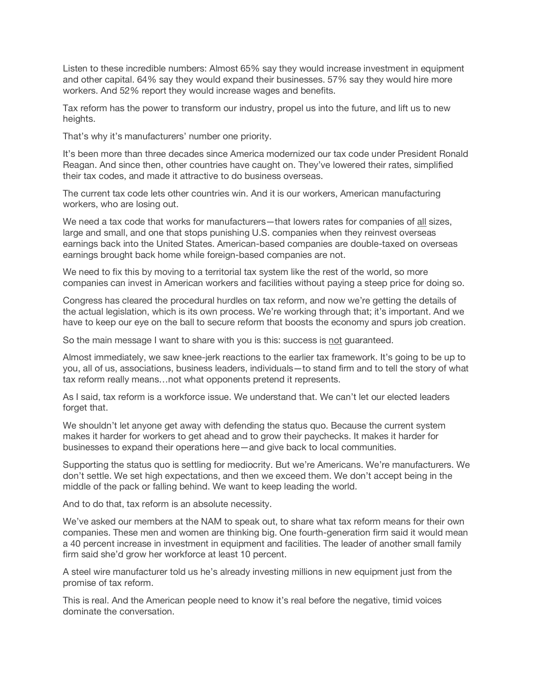Listen to these incredible numbers: Almost 65% say they would increase investment in equipment and other capital. 64% say they would expand their businesses. 57% say they would hire more workers. And 52% report they would increase wages and benefits.

Tax reform has the power to transform our industry, propel us into the future, and lift us to new heights.

That's why it's manufacturers' number one priority.

It's been more than three decades since America modernized our tax code under President Ronald Reagan. And since then, other countries have caught on. They've lowered their rates, simplified their tax codes, and made it attractive to do business overseas.

The current tax code lets other countries win. And it is our workers, American manufacturing workers, who are losing out.

We need a tax code that works for manufacturers—that lowers rates for companies of all sizes, large and small, and one that stops punishing U.S. companies when they reinvest overseas earnings back into the United States. American-based companies are double-taxed on overseas earnings brought back home while foreign-based companies are not.

We need to fix this by moving to a territorial tax system like the rest of the world, so more companies can invest in American workers and facilities without paying a steep price for doing so.

Congress has cleared the procedural hurdles on tax reform, and now we're getting the details of the actual legislation, which is its own process. We're working through that; it's important. And we have to keep our eye on the ball to secure reform that boosts the economy and spurs job creation.

So the main message I want to share with you is this: success is not guaranteed.

Almost immediately, we saw knee-jerk reactions to the earlier tax framework. It's going to be up to you, all of us, associations, business leaders, individuals—to stand firm and to tell the story of what tax reform really means…not what opponents pretend it represents.

As I said, tax reform is a workforce issue. We understand that. We can't let our elected leaders forget that.

We shouldn't let anyone get away with defending the status quo. Because the current system makes it harder for workers to get ahead and to grow their paychecks. It makes it harder for businesses to expand their operations here—and give back to local communities.

Supporting the status quo is settling for mediocrity. But we're Americans. We're manufacturers. We don't settle. We set high expectations, and then we exceed them. We don't accept being in the middle of the pack or falling behind. We want to keep leading the world.

And to do that, tax reform is an absolute necessity.

We've asked our members at the NAM to speak out, to share what tax reform means for their own companies. These men and women are thinking big. One fourth-generation firm said it would mean a 40 percent increase in investment in equipment and facilities. The leader of another small family firm said she'd grow her workforce at least 10 percent.

A steel wire manufacturer told us he's already investing millions in new equipment just from the promise of tax reform.

This is real. And the American people need to know it's real before the negative, timid voices dominate the conversation.